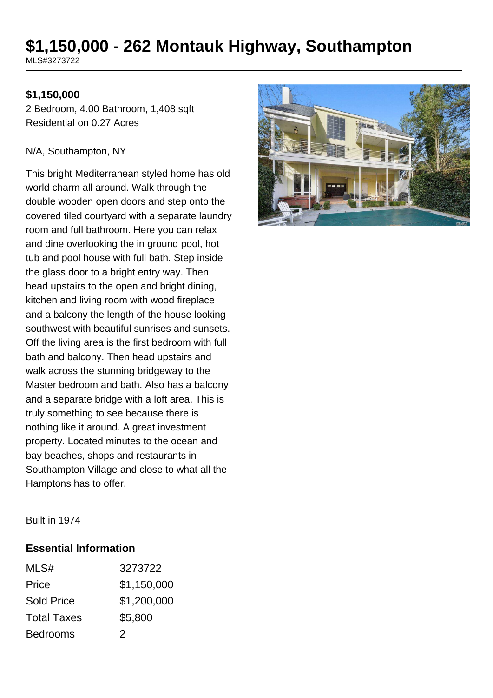# **\$1,150,000 - 262 Montauk Highway, Southampton**

MLS#3273722

#### **\$1,150,000**

2 Bedroom, 4.00 Bathroom, 1,408 sqft Residential on 0.27 Acres

#### N/A, Southampton, NY

This bright Mediterranean styled home has old world charm all around. Walk through the double wooden open doors and step onto the covered tiled courtyard with a separate laundry room and full bathroom. Here you can relax and dine overlooking the in ground pool, hot tub and pool house with full bath. Step inside the glass door to a bright entry way. Then head upstairs to the open and bright dining, kitchen and living room with wood fireplace and a balcony the length of the house looking southwest with beautiful sunrises and sunsets. Off the living area is the first bedroom with full bath and balcony. Then head upstairs and walk across the stunning bridgeway to the Master bedroom and bath. Also has a balcony and a separate bridge with a loft area. This is truly something to see because there is nothing like it around. A great investment property. Located minutes to the ocean and bay beaches, shops and restaurants in Southampton Village and close to what all the Hamptons has to offer.



Built in 1974

#### **Essential Information**

| MLS#               | 3273722     |
|--------------------|-------------|
| Price              | \$1,150,000 |
| <b>Sold Price</b>  | \$1,200,000 |
| <b>Total Taxes</b> | \$5,800     |
| <b>Bedrooms</b>    | 2           |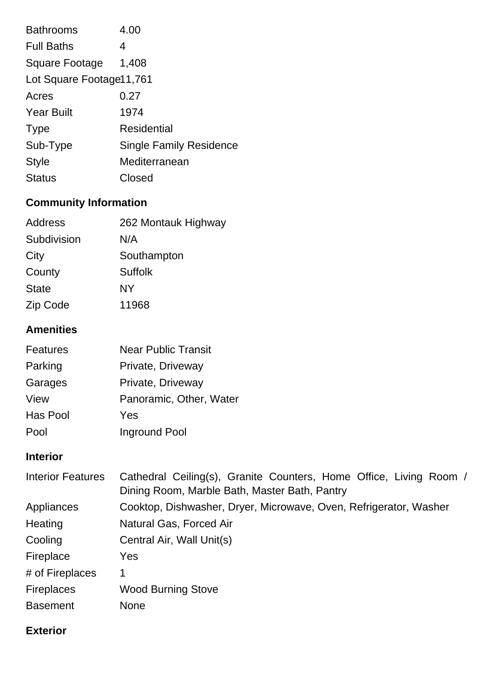| <b>Bathrooms</b>         | 4.00                           |  |
|--------------------------|--------------------------------|--|
| <b>Full Baths</b>        | 4                              |  |
| <b>Square Footage</b>    | 1,408                          |  |
| Lot Square Footage 1,761 |                                |  |
| Acres                    | 0.27                           |  |
| <b>Year Built</b>        | 1974                           |  |
| <b>Type</b>              | Residential                    |  |
| Sub-Type                 | <b>Single Family Residence</b> |  |
| <b>Style</b>             | Mediterranean                  |  |
| <b>Status</b>            | Closed                         |  |

# **Community Information**

| 262 Montauk Highway |
|---------------------|
| N/A                 |
| Southampton         |
| <b>Suffolk</b>      |
| NY                  |
| 11968               |
|                     |

# **Amenities**

| Features | <b>Near Public Transit</b> |
|----------|----------------------------|
| Parking  | Private, Driveway          |
| Garages  | Private, Driveway          |
| View     | Panoramic, Other, Water    |
| Has Pool | Yes                        |
| Pool     | Inground Pool              |

# **Interior**

| <b>Interior Features</b> | Cathedral Ceiling(s), Granite Counters, Home Office, Living Room /<br>Dining Room, Marble Bath, Master Bath, Pantry |  |
|--------------------------|---------------------------------------------------------------------------------------------------------------------|--|
| Appliances               | Cooktop, Dishwasher, Dryer, Microwave, Oven, Refrigerator, Washer                                                   |  |
| Heating                  | Natural Gas, Forced Air                                                                                             |  |
| Cooling                  | Central Air, Wall Unit(s)                                                                                           |  |
| Fireplace                | Yes                                                                                                                 |  |
| # of Fireplaces          | 1                                                                                                                   |  |
| <b>Fireplaces</b>        | <b>Wood Burning Stove</b>                                                                                           |  |
| <b>Basement</b>          | <b>None</b>                                                                                                         |  |

# **Exterior**